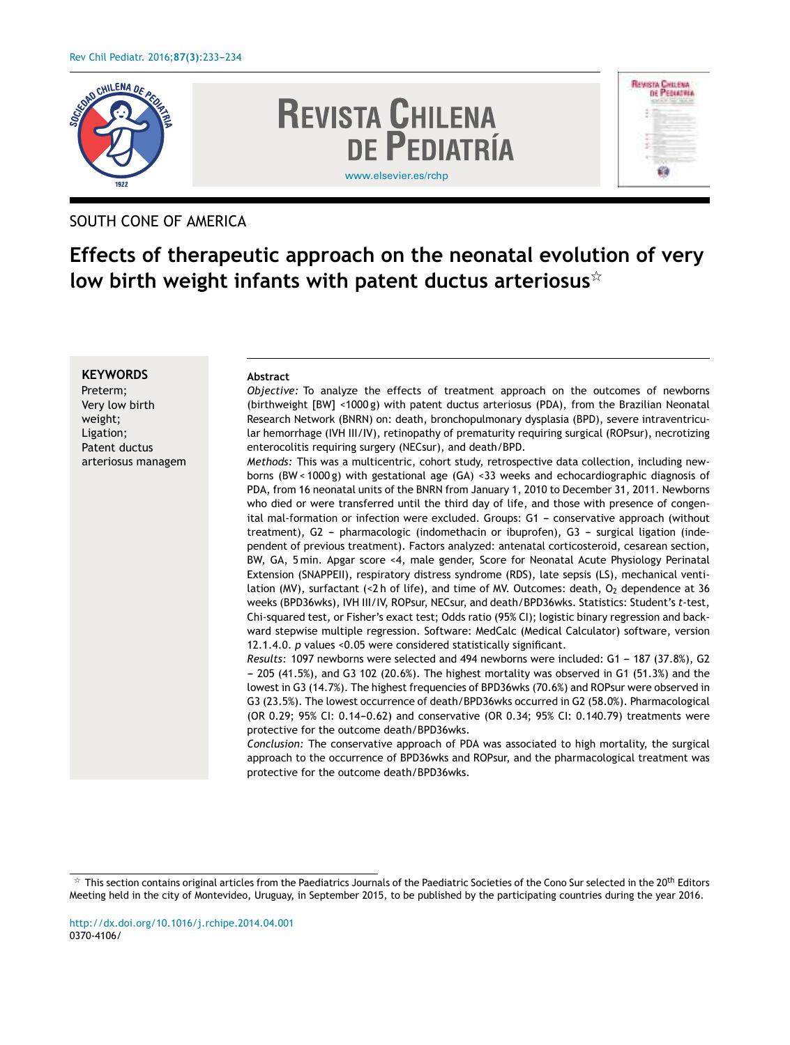

## SOUTH CONE OF AMERICA

# **Effects of therapeutic approach on the neonatal evolution of very low birth weight infants with patent ductus arteriosus**-

### **KEYWORDS**

Preterm; Very low birth weight; Ligation; Patent ductus arteriosus managem

#### **Abstract**

*Objective:* To analyze the effects of treatment approach on the outcomes of newborns (birthweight [BW] <1000 g) with patent ductus arteriosus (PDA), from the Brazilian Neonatal Research Network (BNRN) on: death, bronchopulmonary dysplasia (BPD), severe intraventricular hemorrhage (IVH III/IV), retinopathy of prematurity requiring surgical (ROPsur), necrotizing enterocolitis requiring surgery (NECsur), and death/BPD.

*Methods:* This was a multicentric, cohort study, retrospective data collection, including newborns (BW < 1000 g) with gestational age (GA) <33 weeks and echocardiographic diagnosis of PDA, from 16 neonatal units of the BNRN from January 1, 2010 to December 31, 2011. Newborns who died or were transferred until the third day of life, and those with presence of congenital mal-formation or infection were excluded. Groups: G1 - conservative approach (without treatment), G2 - pharmacologic (indomethacin or ibuprofen), G3 - surgical ligation (independent of previous treatment). Factors analyzed: antenatal corticosteroid, cesarean section, BW, GA, 5 min. Apgar score <4, male gender, Score for Neonatal Acute Physiology Perinatal Extension (SNAPPEII), respiratory distress syndrome (RDS), late sepsis (LS), mechanical ventilation (MV), surfactant (<2 h of life), and time of MV. Outcomes: death,  $O<sub>2</sub>$  dependence at 36 weeks (BPD36wks), IVH III/IV, ROPsur, NECsur, and death/BPD36wks. Statistics: Student's *t*-test, Chi-squared test, or Fisher's exact test; Odds ratio (95% CI); logistic binary regression and backward stepwise multiple regression. Software: MedCalc (Medical Calculator) software, version 12.1.4.0. *p* values <0.05 were considered statistically significant.

*Results:* 1097 newborns were selected and 494 newborns were included: G1 - 187 (37.8%), G2  $-205$  (41.5%), and G3 102 (20.6%). The highest mortality was observed in G1 (51.3%) and the lowest in G3 (14.7%). The highest frequencies of BPD36wks (70.6%) and ROPsur were observed in G3 (23.5%). The lowest occurrence of death/BPD36wks occurred in G2 (58.0%). Pharmacological (OR 0.29; 95% CI: 0.14-0.62) and conservative (OR 0.34; 95% CI: 0.140.79) treatments were protective for the outcome death/BPD36wks.

*Conclusion:* The conservative approach of PDA was associated to high mortality, the surgical approach to the occurrence of BPD36wks and ROPsur, and the pharmacological treatment was protective for the outcome death/BPD36wks.

 $^\star$  This section contains original articles from the Paediatrics Journals of the Paediatric Societies of the Cono Sur selected in the 20<sup>th</sup> Editors Meeting held in the city of Montevideo, Uruguay, in September 2015, to be published by the participating countries during the year 2016.